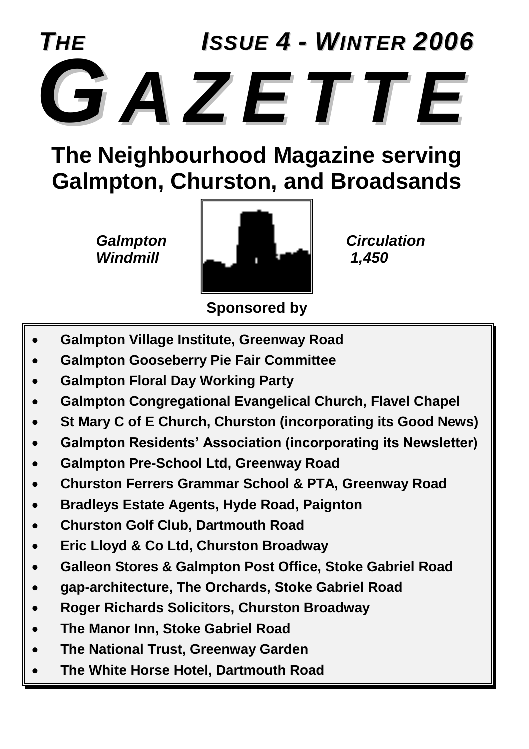

### **The Neighbourhood Magazine serving Galmpton, Churston, and Broadsands**



**Sponsored by**

- **Galmpton Village Institute, Greenway Road**
- **Galmpton Gooseberry Pie Fair Committee**
- **Galmpton Floral Day Working Party**
- **Galmpton Congregational Evangelical Church, Flavel Chapel**
- **St Mary C of E Church, Churston (incorporating its Good News)**
- **Galmpton Residents' Association (incorporating its Newsletter)**
- **Galmpton Pre-School Ltd, Greenway Road**
- **Churston Ferrers Grammar School & PTA, Greenway Road**
- **Bradleys Estate Agents, Hyde Road, Paignton**
- **Churston Golf Club, Dartmouth Road**
- **Eric Lloyd & Co Ltd, Churston Broadway**
- **Galleon Stores & Galmpton Post Office, Stoke Gabriel Road**
- **gap-architecture, The Orchards, Stoke Gabriel Road**
- **Roger Richards Solicitors, Churston Broadway**
- **The Manor Inn, Stoke Gabriel Road**
- **The National Trust, Greenway Garden**
- **The White Horse Hotel, Dartmouth Road**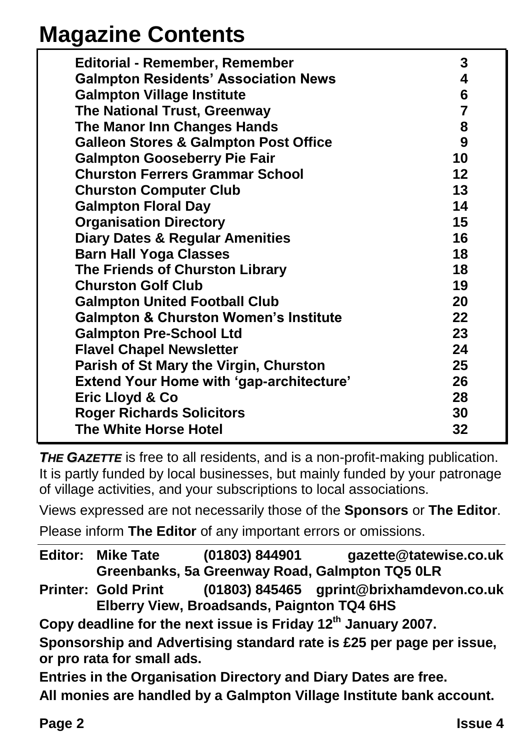## **Magazine Contents**

| <b>Editorial - Remember, Remember</b>            | 3              |
|--------------------------------------------------|----------------|
| <b>Galmpton Residents' Association News</b>      | 4              |
| <b>Galmpton Village Institute</b>                | 6              |
| The National Trust, Greenway                     | $\overline{7}$ |
| The Manor Inn Changes Hands                      | 8              |
| <b>Galleon Stores &amp; Galmpton Post Office</b> | 9              |
| <b>Galmpton Gooseberry Pie Fair</b>              | 10             |
| <b>Churston Ferrers Grammar School</b>           | 12             |
| <b>Churston Computer Club</b>                    | 13             |
| <b>Galmpton Floral Day</b>                       | 14             |
| <b>Organisation Directory</b>                    | 15             |
| <b>Diary Dates &amp; Regular Amenities</b>       | 16             |
| <b>Barn Hall Yoga Classes</b>                    | 18             |
| The Friends of Churston Library                  | 18             |
| <b>Churston Golf Club</b>                        | 19             |
| <b>Galmpton United Football Club</b>             | 20             |
| <b>Galmpton &amp; Churston Women's Institute</b> | 22             |
| <b>Galmpton Pre-School Ltd</b>                   | 23             |
| <b>Flavel Chapel Newsletter</b>                  | 24             |
| Parish of St Mary the Virgin, Churston           | 25             |
| <b>Extend Your Home with 'gap-architecture'</b>  | 26             |
| Eric Lloyd & Co                                  | 28             |
| <b>Roger Richards Solicitors</b>                 | 30             |
| <b>The White Horse Hotel</b>                     | 32             |

**THE GAZETTE** is free to all residents, and is a non-profit-making publication. It is partly funded by local businesses, but mainly funded by your patronage of village activities, and your subscriptions to local associations.

Views expressed are not necessarily those of the **Sponsors** or **The Editor**.

Please inform **The Editor** of any important errors or omissions.

|                                                                                                    | <b>Editor: Mike Tate</b>   | (01803) 844901                             | gazette@tatewise.co.uk<br>Greenbanks, 5a Greenway Road, Galmpton TQ5 0LR |  |  |
|----------------------------------------------------------------------------------------------------|----------------------------|--------------------------------------------|--------------------------------------------------------------------------|--|--|
|                                                                                                    | <b>Printer: Gold Print</b> | Elberry View, Broadsands, Paignton TQ4 6HS | (01803) 845465 gprint@brixhamdevon.co.uk                                 |  |  |
| Copy deadline for the next issue is Friday 12 <sup>th</sup> January 2007.                          |                            |                                            |                                                                          |  |  |
| Sponsorship and Advertising standard rate is £25 per page per issue,<br>or pro rata for small ads. |                            |                                            |                                                                          |  |  |
| Entries in the Organisation Directory and Diary Dates are free.                                    |                            |                                            |                                                                          |  |  |
|                                                                                                    |                            |                                            | All monies are handled by a Galmpton Village Institute bank account.     |  |  |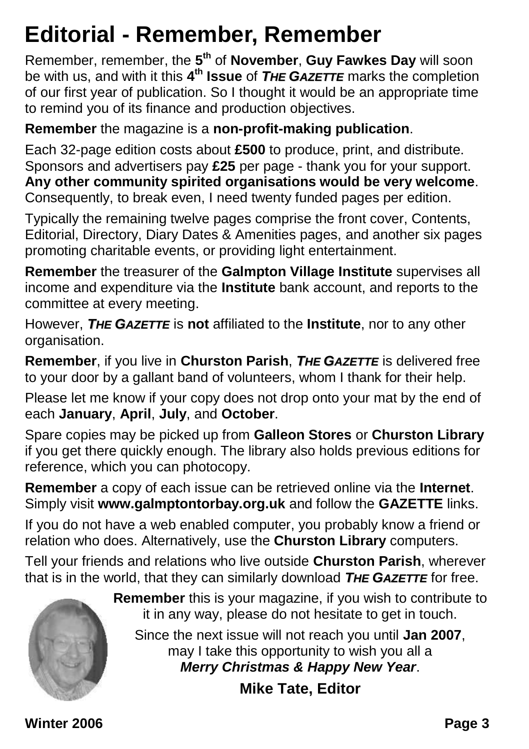## **Editorial - Remember, Remember**

Remember, remember, the **5 th** of **November**, **Guy Fawkes Day** will soon be with us, and with it this **4 th Issue** of *THE GAZETTE* marks the completion of our first year of publication. So I thought it would be an appropriate time to remind you of its finance and production objectives.

**Remember** the magazine is a **non-profit-making publication**.

Each 32-page edition costs about **£500** to produce, print, and distribute. Sponsors and advertisers pay **£25** per page - thank you for your support. **Any other community spirited organisations would be very welcome**. Consequently, to break even, I need twenty funded pages per edition.

Typically the remaining twelve pages comprise the front cover, Contents, Editorial, Directory, Diary Dates & Amenities pages, and another six pages promoting charitable events, or providing light entertainment.

**Remember** the treasurer of the **Galmpton Village Institute** supervises all income and expenditure via the **Institute** bank account, and reports to the committee at every meeting.

However, *THE GAZETTE* is **not** affiliated to the **Institute**, nor to any other organisation.

**Remember**, if you live in **Churston Parish**, *THE GAZETTE* is delivered free to your door by a gallant band of volunteers, whom I thank for their help.

Please let me know if your copy does not drop onto your mat by the end of each **January**, **April**, **July**, and **October**.

Spare copies may be picked up from **Galleon Stores** or **Churston Library** if you get there quickly enough. The library also holds previous editions for reference, which you can photocopy.

**Remember** a copy of each issue can be retrieved online via the **Internet**. Simply visit **www.galmptontorbay.org.uk** and follow the **GAZETTE** links.

If you do not have a web enabled computer, you probably know a friend or relation who does. Alternatively, use the **Churston Library** computers.

Tell your friends and relations who live outside **Churston Parish**, wherever that is in the world, that they can similarly download *THE GAZETTE* for free.



**Remember** this is your magazine, if you wish to contribute to it in any way, please do not hesitate to get in touch.

Since the next issue will not reach you until **Jan 2007**, may I take this opportunity to wish you all a *Merry Christmas & Happy New Year*.

**Mike Tate, Editor**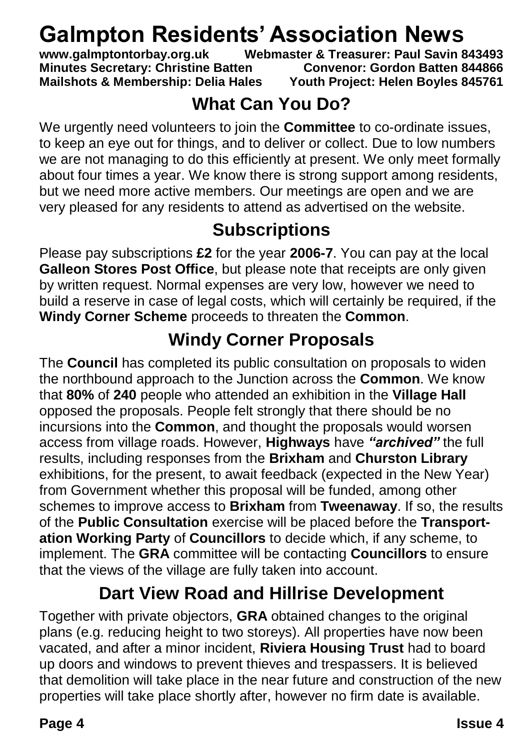## **Galmpton Residents' Association News**<br>www.galmptontorbay.org.uk Webmaster & Treasurer: Paul Savin 8

Webmaster & Treasurer: Paul Savin 843493 **Minutes Secretary: Christine Batten Convenor: Gordon Batten 844866 Mailshots & Membership: Delia Hales Youth Project: Helen Boyles 845761**

#### **What Can You Do?**

We urgently need volunteers to join the **Committee** to co-ordinate issues, to keep an eye out for things, and to deliver or collect. Due to low numbers we are not managing to do this efficiently at present. We only meet formally about four times a year. We know there is strong support among residents, but we need more active members. Our meetings are open and we are very pleased for any residents to attend as advertised on the website.

#### **Subscriptions**

Please pay subscriptions **£2** for the year **2006-7**. You can pay at the local **Galleon Stores Post Office**, but please note that receipts are only given by written request. Normal expenses are very low, however we need to build a reserve in case of legal costs, which will certainly be required, if the **Windy Corner Scheme** proceeds to threaten the **Common**.

#### **Windy Corner Proposals**

The **Council** has completed its public consultation on proposals to widen the northbound approach to the Junction across the **Common**. We know that **80%** of **240** people who attended an exhibition in the **Village Hall** opposed the proposals. People felt strongly that there should be no incursions into the **Common**, and thought the proposals would worsen access from village roads. However, **Highways** have *"archived"* the full results, including responses from the **Brixham** and **Churston Library** exhibitions, for the present, to await feedback (expected in the New Year) from Government whether this proposal will be funded, among other schemes to improve access to **Brixham** from **Tweenaway**. If so, the results of the **Public Consultation** exercise will be placed before the **Transportation Working Party** of **Councillors** to decide which, if any scheme, to implement. The **GRA** committee will be contacting **Councillors** to ensure that the views of the village are fully taken into account.

#### **Dart View Road and Hillrise Development**

Together with private objectors, **GRA** obtained changes to the original plans (e.g. reducing height to two storeys). All properties have now been vacated, and after a minor incident, **Riviera Housing Trust** had to board up doors and windows to prevent thieves and trespassers. It is believed that demolition will take place in the near future and construction of the new properties will take place shortly after, however no firm date is available.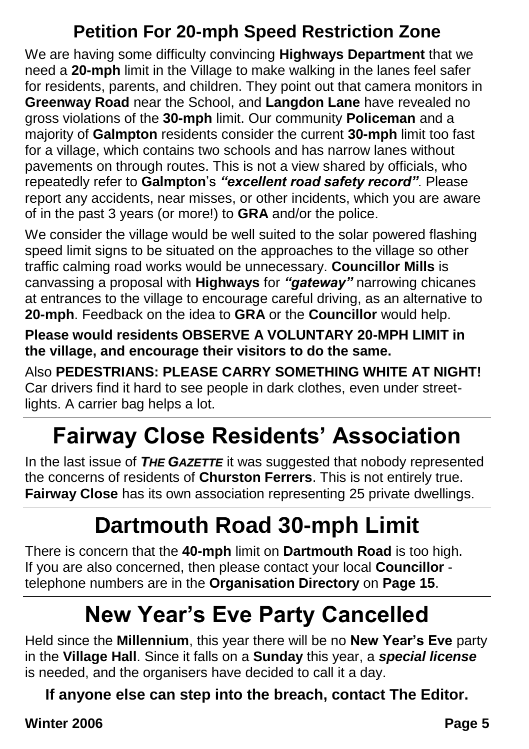#### **Petition For 20-mph Speed Restriction Zone**

We are having some difficulty convincing **Highways Department** that we need a **20-mph** limit in the Village to make walking in the lanes feel safer for residents, parents, and children. They point out that camera monitors in **Greenway Road** near the School, and **Langdon Lane** have revealed no gross violations of the **30-mph** limit. Our community **Policeman** and a majority of **Galmpton** residents consider the current **30-mph** limit too fast for a village, which contains two schools and has narrow lanes without pavements on through routes. This is not a view shared by officials, who repeatedly refer to **Galmpton**'s *"excellent road safety record"*. Please report any accidents, near misses, or other incidents, which you are aware of in the past 3 years (or more!) to **GRA** and/or the police.

We consider the village would be well suited to the solar powered flashing speed limit signs to be situated on the approaches to the village so other traffic calming road works would be unnecessary. **Councillor Mills** is canvassing a proposal with **Highways** for *"gateway"* narrowing chicanes at entrances to the village to encourage careful driving, as an alternative to **20-mph**. Feedback on the idea to **GRA** or the **Councillor** would help.

**Please would residents OBSERVE A VOLUNTARY 20-MPH LIMIT in the village, and encourage their visitors to do the same.**

Also **PEDESTRIANS: PLEASE CARRY SOMETHING WHITE AT NIGHT!** Car drivers find it hard to see people in dark clothes, even under streetlights. A carrier bag helps a lot.

## **Fairway Close Residents' Association**

In the last issue of *THE GAZETTE* it was suggested that nobody represented the concerns of residents of **Churston Ferrers**. This is not entirely true. **Fairway Close** has its own association representing 25 private dwellings.

## **Dartmouth Road 30-mph Limit**

There is concern that the **40-mph** limit on **Dartmouth Road** is too high. If you are also concerned, then please contact your local **Councillor** telephone numbers are in the **Organisation Directory** on **Page 15**.

## **New Year's Eve Party Cancelled**

Held since the **Millennium**, this year there will be no **New Year's Eve** party in the **Village Hall**. Since it falls on a **Sunday** this year, a *special license* is needed, and the organisers have decided to call it a day.

**If anyone else can step into the breach, contact The Editor.**

**Winter 2006 Page 5**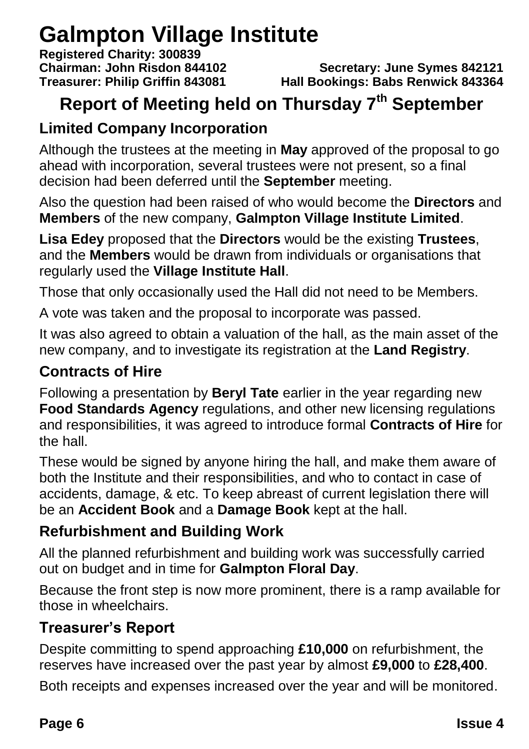## **Galmpton Village Institute**

**Registered Charity: 300839**

**Chairman: John Risdon 844102 Secretary: June Symes 842121 Treasurer: Philip Griffin 843081 Hall Bookings: Babs Renwick 843364**

### **Report of Meeting held on Thursday 7th September**

#### **Limited Company Incorporation**

Although the trustees at the meeting in **May** approved of the proposal to go ahead with incorporation, several trustees were not present, so a final decision had been deferred until the **September** meeting.

Also the question had been raised of who would become the **Directors** and **Members** of the new company, **Galmpton Village Institute Limited**.

**Lisa Edey** proposed that the **Directors** would be the existing **Trustees**, and the **Members** would be drawn from individuals or organisations that regularly used the **Village Institute Hall**.

Those that only occasionally used the Hall did not need to be Members.

A vote was taken and the proposal to incorporate was passed.

It was also agreed to obtain a valuation of the hall, as the main asset of the new company, and to investigate its registration at the **Land Registry**.

#### **Contracts of Hire**

Following a presentation by **Beryl Tate** earlier in the year regarding new **Food Standards Agency** regulations, and other new licensing regulations and responsibilities, it was agreed to introduce formal **Contracts of Hire** for the hall.

These would be signed by anyone hiring the hall, and make them aware of both the Institute and their responsibilities, and who to contact in case of accidents, damage, & etc. To keep abreast of current legislation there will be an **Accident Book** and a **Damage Book** kept at the hall.

#### **Refurbishment and Building Work**

All the planned refurbishment and building work was successfully carried out on budget and in time for **Galmpton Floral Day**.

Because the front step is now more prominent, there is a ramp available for those in wheelchairs.

#### **Treasurer's Report**

Despite committing to spend approaching **£10,000** on refurbishment, the reserves have increased over the past year by almost **£9,000** to **£28,400**.

Both receipts and expenses increased over the year and will be monitored.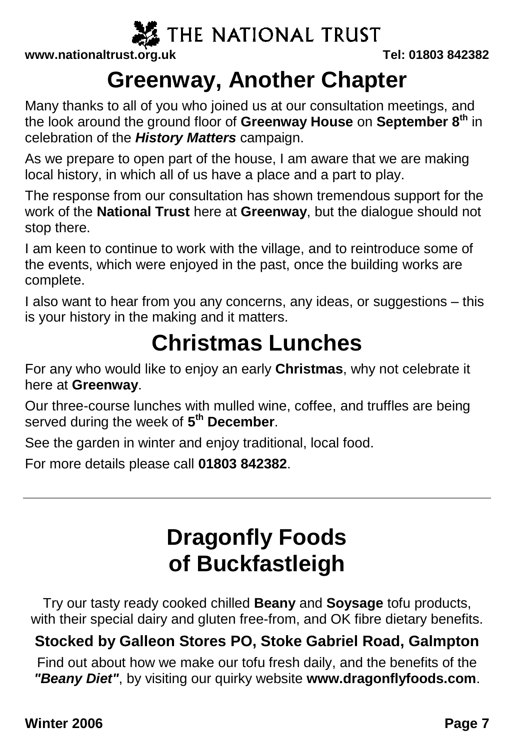

**www.nationaltrust.org.uk Tel: 01803 842382**

### **Greenway, Another Chapter**

Many thanks to all of you who joined us at our consultation meetings, and the look around the ground floor of **Greenway House** on **September 8th** in celebration of the *History Matters* campaign.

As we prepare to open part of the house, I am aware that we are making local history, in which all of us have a place and a part to play.

The response from our consultation has shown tremendous support for the work of the **National Trust** here at **Greenway**, but the dialogue should not stop there.

I am keen to continue to work with the village, and to reintroduce some of the events, which were enjoyed in the past, once the building works are complete.

I also want to hear from you any concerns, any ideas, or suggestions – this is your history in the making and it matters.

## **Christmas Lunches**

For any who would like to enjoy an early **Christmas**, why not celebrate it here at **Greenway**.

Our three-course lunches with mulled wine, coffee, and truffles are being served during the week of **5 th December**.

See the garden in winter and enjoy traditional, local food.

For more details please call **01803 842382**.

## **Dragonfly Foods of Buckfastleigh**

Try our tasty ready cooked chilled **Beany** and **Soysage** tofu products, with their special dairy and gluten free-from, and OK fibre dietary benefits.

#### **Stocked by Galleon Stores PO, Stoke Gabriel Road, Galmpton**

Find out about how we make our tofu fresh daily, and the benefits of the *"Beany Diet"*, by visiting our quirky website **www.dragonflyfoods.com**.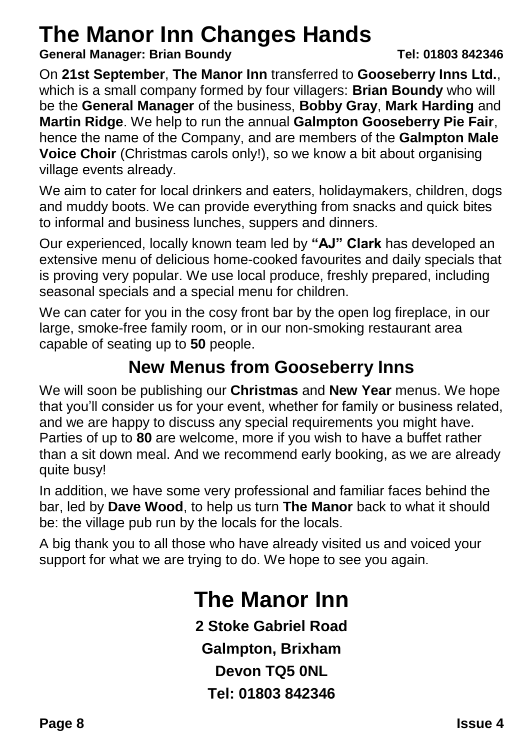## **The Manor Inn Changes Hands**

**General Manager: Brian Boundy Tel: 01803 842346**

On **21st September**, **The Manor Inn** transferred to **Gooseberry Inns Ltd.**, which is a small company formed by four villagers: **Brian Boundy** who will be the **General Manager** of the business, **Bobby Gray**, **Mark Harding** and **Martin Ridge**. We help to run the annual **Galmpton Gooseberry Pie Fair**, hence the name of the Company, and are members of the **Galmpton Male Voice Choir** (Christmas carols only!), so we know a bit about organising village events already.

We aim to cater for local drinkers and eaters, holidaymakers, children, dogs and muddy boots. We can provide everything from snacks and quick bites to informal and business lunches, suppers and dinners.

Our experienced, locally known team led by **"AJ" Clark** has developed an extensive menu of delicious home-cooked favourites and daily specials that is proving very popular. We use local produce, freshly prepared, including seasonal specials and a special menu for children.

We can cater for you in the cosy front bar by the open log fireplace, in our large, smoke-free family room, or in our non-smoking restaurant area capable of seating up to **50** people.

#### **New Menus from Gooseberry Inns**

We will soon be publishing our **Christmas** and **New Year** menus. We hope that you'll consider us for your event, whether for family or business related, and we are happy to discuss any special requirements you might have. Parties of up to **80** are welcome, more if you wish to have a buffet rather than a sit down meal. And we recommend early booking, as we are already quite busy!

In addition, we have some very professional and familiar faces behind the bar, led by **Dave Wood**, to help us turn **The Manor** back to what it should be: the village pub run by the locals for the locals.

A big thank you to all those who have already visited us and voiced your support for what we are trying to do. We hope to see you again.

## **The Manor Inn**

**2 Stoke Gabriel Road Galmpton, Brixham Devon TQ5 0NL Tel: 01803 842346**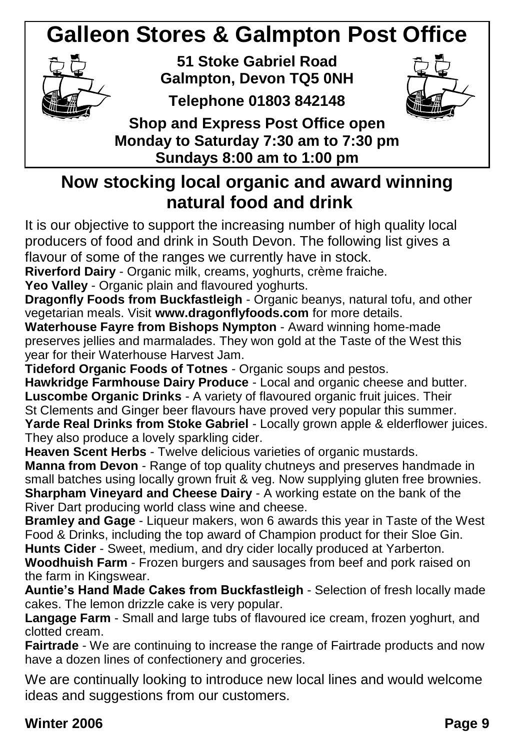## **Galleon Stores & Galmpton Post Office**



**51 Stoke Gabriel Road Galmpton, Devon TQ5 0NH**

**Telephone 01803 842148**



**Shop and Express Post Office open Monday to Saturday 7:30 am to 7:30 pm Sundays 8:00 am to 1:00 pm**

#### **Now stocking local organic and award winning natural food and drink**

It is our objective to support the increasing number of high quality local producers of food and drink in South Devon. The following list gives a flavour of some of the ranges we currently have in stock.

**Riverford Dairy** - Organic milk, creams, yoghurts, crème fraiche.

**Yeo Valley** - Organic plain and flavoured yoghurts.

**Dragonfly Foods from Buckfastleigh** - Organic beanys, natural tofu, and other vegetarian meals. Visit **www.dragonflyfoods.com** for more details.

**Waterhouse Fayre from Bishops Nympton** - Award winning home-made preserves jellies and marmalades. They won gold at the Taste of the West this year for their Waterhouse Harvest Jam.

**Tideford Organic Foods of Totnes** - Organic soups and pestos.

**Hawkridge Farmhouse Dairy Produce** - Local and organic cheese and butter. **Luscombe Organic Drinks** - A variety of flavoured organic fruit juices. Their St Clements and Ginger beer flavours have proved very popular this summer. **Yarde Real Drinks from Stoke Gabriel** - Locally grown apple & elderflower juices.

They also produce a lovely sparkling cider.

**Heaven Scent Herbs** - Twelve delicious varieties of organic mustards. **Manna from Devon** - Range of top quality chutneys and preserves handmade in small batches using locally grown fruit & veg. Now supplying gluten free brownies. **Sharpham Vinevard and Cheese Dairy - A working estate on the bank of the** River Dart producing world class wine and cheese.

**Bramley and Gage** - Liqueur makers, won 6 awards this year in Taste of the West Food & Drinks, including the top award of Champion product for their Sloe Gin. **Hunts Cider** - Sweet, medium, and dry cider locally produced at Yarberton.

**Woodhuish Farm** - Frozen burgers and sausages from beef and pork raised on the farm in Kingswear.

**Auntie's Hand Made Cakes from Buckfastleigh** - Selection of fresh locally made cakes. The lemon drizzle cake is very popular.

Langage Farm - Small and large tubs of flavoured ice cream, frozen yoghurt, and clotted cream.

**Fairtrade** - We are continuing to increase the range of Fairtrade products and now have a dozen lines of confectionery and groceries.

We are continually looking to introduce new local lines and would welcome ideas and suggestions from our customers.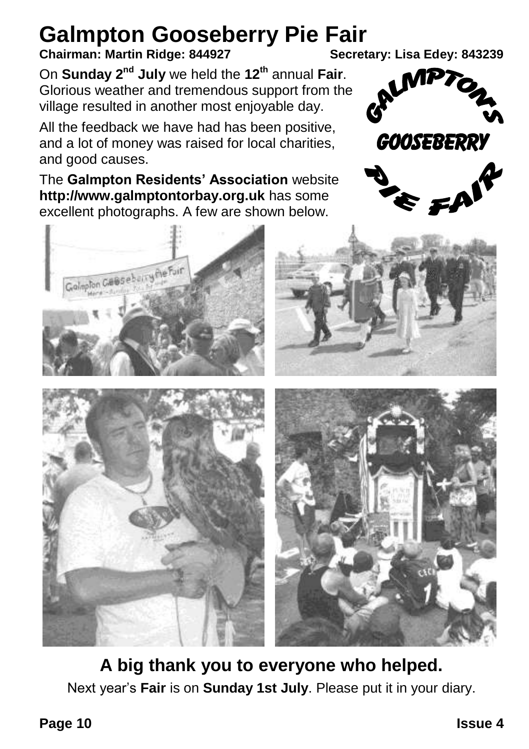# **Galmpton Gooseberry Pie Fair**<br>Chairman: Martin Ridge: 844927<br>Secretary: Lisa Edey: 843239

#### **Chairman: Martin Ridge: 844927**

On **Sunday 2nd July** we held the **12th** annual **Fair**. Glorious weather and tremendous support from the village resulted in another most enjoyable day.

All the feedback we have had has been positive, and a lot of money was raised for local charities, and good causes.

The **Galmpton Residents' Association** website **http://www.galmptontorbay.org.uk** has some excellent photographs. A few are shown below.



 $\epsilon$  fa





**A big thank you to everyone who helped.** Next year's **Fair** is on **Sunday 1st July**. Please put it in your diary.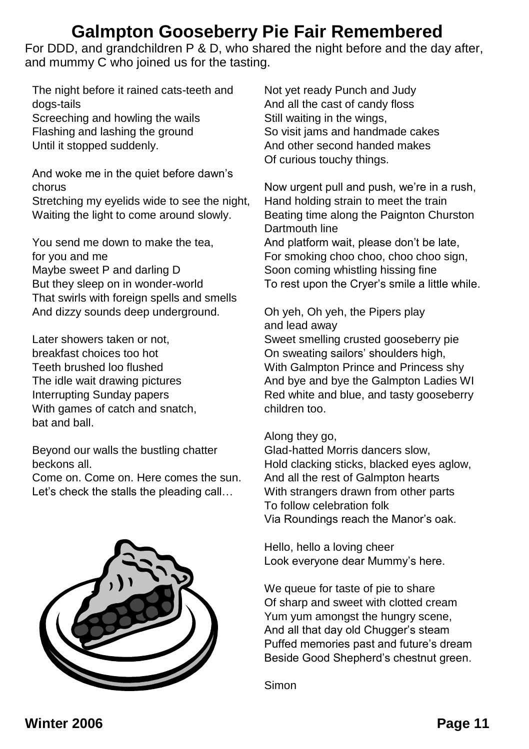#### **Galmpton Gooseberry Pie Fair Remembered**

For DDD, and grandchildren P & D, who shared the night before and the day after, and mummy C who joined us for the tasting.

The night before it rained cats-teeth and dogs-tails Screeching and howling the wails Flashing and lashing the ground Until it stopped suddenly.

And woke me in the quiet before dawn's chorus Stretching my eyelids wide to see the night, Waiting the light to come around slowly.

You send me down to make the tea, for you and me Maybe sweet P and darling D But they sleep on in wonder-world That swirls with foreign spells and smells And dizzy sounds deep underground.

Later showers taken or not, breakfast choices too hot Teeth brushed loo flushed The idle wait drawing pictures Interrupting Sunday papers With games of catch and snatch. bat and ball.

Beyond our walls the bustling chatter beckons all.

Come on. Come on. Here comes the sun. Let's check the stalls the pleading call...



Not yet ready Punch and Judy And all the cast of candy floss Still waiting in the wings, So visit jams and handmade cakes And other second handed makes Of curious touchy things.

Now urgent pull and push, we're in a rush, Hand holding strain to meet the train Beating time along the Paignton Churston Dartmouth line And platform wait, please don't be late, For smoking choo choo, choo choo sign, Soon coming whistling hissing fine To rest upon the Cryer's smile a little while.

#### Oh yeh, Oh yeh, the Pipers play and lead away

Sweet smelling crusted gooseberry pie On sweating sailors' shoulders high, With Galmpton Prince and Princess shy And bye and bye the Galmpton Ladies WI Red white and blue, and tasty gooseberry children too.

Along they go,

Glad-hatted Morris dancers slow, Hold clacking sticks, blacked eyes aglow, And all the rest of Galmpton hearts With strangers drawn from other parts To follow celebration folk Via Roundings reach the Manor's oak.

Hello, hello a loving cheer Look everyone dear Mummy's here.

We queue for taste of pie to share Of sharp and sweet with clotted cream Yum yum amongst the hungry scene, And all that day old Chugger's steam Puffed memories past and future's dream Beside Good Shepherd's chestnut green.

Simon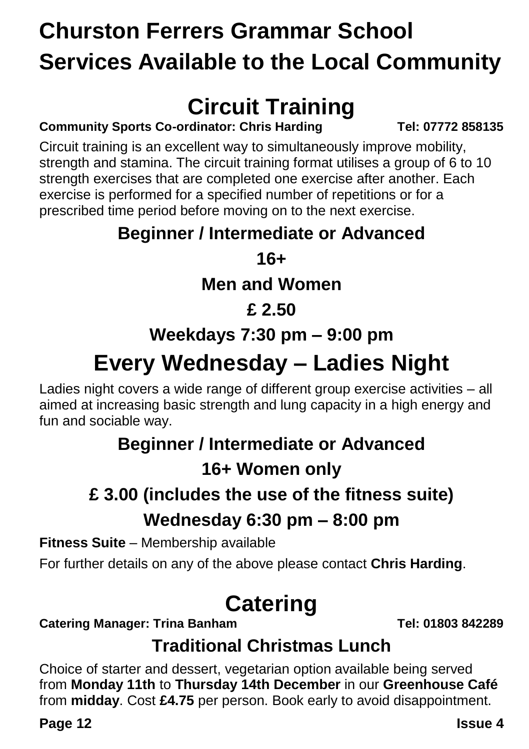## **Churston Ferrers Grammar School Services Available to the Local Community**

## **Circuit Training**

**Community Sports Co-ordinator: Chris Harding Tel: 07772 858135**

Circuit training is an excellent way to simultaneously improve mobility, strength and stamina. The circuit training format utilises a group of 6 to 10 strength exercises that are completed one exercise after another. Each exercise is performed for a specified number of repetitions or for a prescribed time period before moving on to the next exercise.

#### **Beginner / Intermediate or Advanced**

**16+**

#### **Men and Women**

#### **£ 2.50**

#### **Weekdays 7:30 pm – 9:00 pm**

## **Every Wednesday – Ladies Night**

Ladies night covers a wide range of different group exercise activities – all aimed at increasing basic strength and lung capacity in a high energy and fun and sociable way.

## **Beginner / Intermediate or Advanced**

#### **16+ Women only**

### **£ 3.00 (includes the use of the fitness suite) Wednesday 6:30 pm – 8:00 pm**

**Fitness Suite** – Membership available

For further details on any of the above please contact **Chris Harding**.

## **Catering**

**Catering Manager: Trina Banham Tel: 01803 842289**

#### **Traditional Christmas Lunch**

Choice of starter and dessert, vegetarian option available being served from **Monday 11th** to **Thursday 14th December** in our **Greenhouse Café** from **midday**. Cost **£4.75** per person. Book early to avoid disappointment.

**Page 12 Issue 4**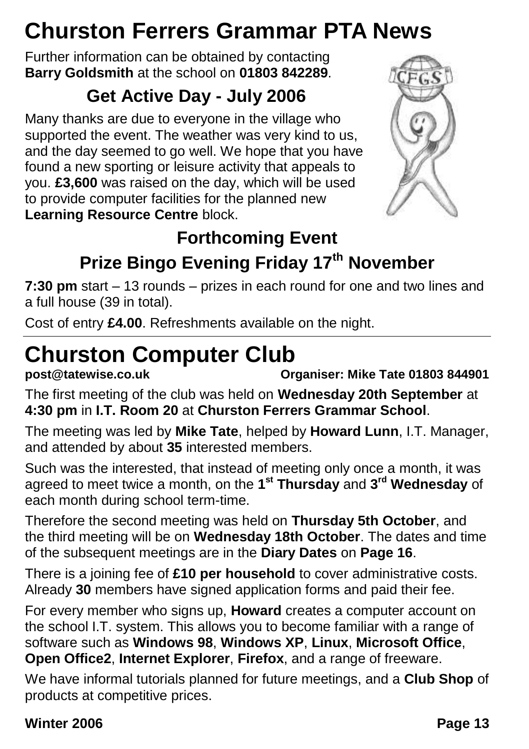## **Churston Ferrers Grammar PTA News**

Further information can be obtained by contacting **Barry Goldsmith** at the school on **01803 842289**.

### **Get Active Day - July 2006**

Many thanks are due to everyone in the village who supported the event. The weather was very kind to us, and the day seemed to go well. We hope that you have found a new sporting or leisure activity that appeals to you. **£3,600** was raised on the day, which will be used to provide computer facilities for the planned new **Learning Resource Centre** block.



#### **Forthcoming Event Prize Bingo Evening Friday 17th November**

**7:30 pm** start – 13 rounds – prizes in each round for one and two lines and a full house (39 in total).

Cost of entry **£4.00**. Refreshments available on the night.

## **Churston Computer Club**<br>post@tatewise.co.uk

**post@tatewise.co.uk Organiser: Mike Tate 01803 844901**

The first meeting of the club was held on **Wednesday 20th September** at **4:30 pm** in **I.T. Room 20** at **Churston Ferrers Grammar School**.

The meeting was led by **Mike Tate**, helped by **Howard Lunn**, I.T. Manager, and attended by about **35** interested members.

Such was the interested, that instead of meeting only once a month, it was agreed to meet twice a month, on the **1 st Thursday** and **3 rd Wednesday** of each month during school term-time.

Therefore the second meeting was held on **Thursday 5th October**, and the third meeting will be on **Wednesday 18th October**. The dates and time of the subsequent meetings are in the **Diary Dates** on **Page 16**.

There is a joining fee of **£10 per household** to cover administrative costs. Already **30** members have signed application forms and paid their fee.

For every member who signs up, **Howard** creates a computer account on the school I.T. system. This allows you to become familiar with a range of software such as **Windows 98**, **Windows XP**, **Linux**, **Microsoft Office**, **Open Office2**, **Internet Explorer**, **Firefox**, and a range of freeware.

We have informal tutorials planned for future meetings, and a **Club Shop** of products at competitive prices.

#### **Winter 2006 Page 13**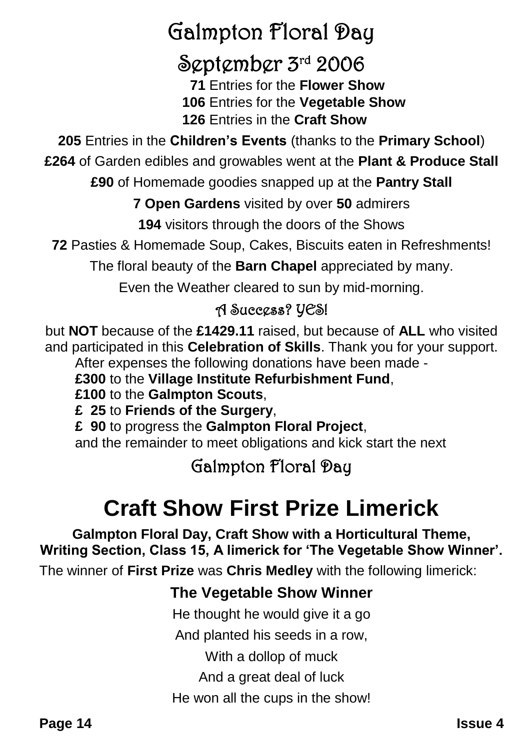## Galmpton Floral Day

### September 3rd 2006

 **71** Entries for the **Flower Show 106** Entries for the **Vegetable Show 126** Entries in the **Craft Show**

**205** Entries in the **Children's Events** (thanks to the **Primary School**)

**£264** of Garden edibles and growables went at the **Plant & Produce Stall**

**£90** of Homemade goodies snapped up at the **Pantry Stall**

**7 Open Gardens** visited by over **50** admirers

**194** visitors through the doors of the Shows

**72** Pasties & Homemade Soup, Cakes, Biscuits eaten in Refreshments!

The floral beauty of the **Barn Chapel** appreciated by many.

Even the Weather cleared to sun by mid-morning.

#### A Success? YES!

but **NOT** because of the **£1429.11** raised, but because of **ALL** who visited and participated in this **Celebration of Skills**. Thank you for your support. After expenses the following donations have been made -

**£300** to the **Village Institute Refurbishment Fund**,

**£100** to the **Galmpton Scouts**,

**£ 25** to **Friends of the Surgery**,

**£ 90** to progress the **Galmpton Floral Project**,

and the remainder to meet obligations and kick start the next

#### Galmpton Floral Day

## **Craft Show First Prize Limerick**

**Galmpton Floral Day, Craft Show with a Horticultural Theme, Writing Section, Class 15, A limerick for 'The Vegetable Show Winner'.**

The winner of **First Prize** was **Chris Medley** with the following limerick:

#### **The Vegetable Show Winner**

He thought he would give it a go

And planted his seeds in a row,

With a dollop of muck

And a great deal of luck

He won all the cups in the show!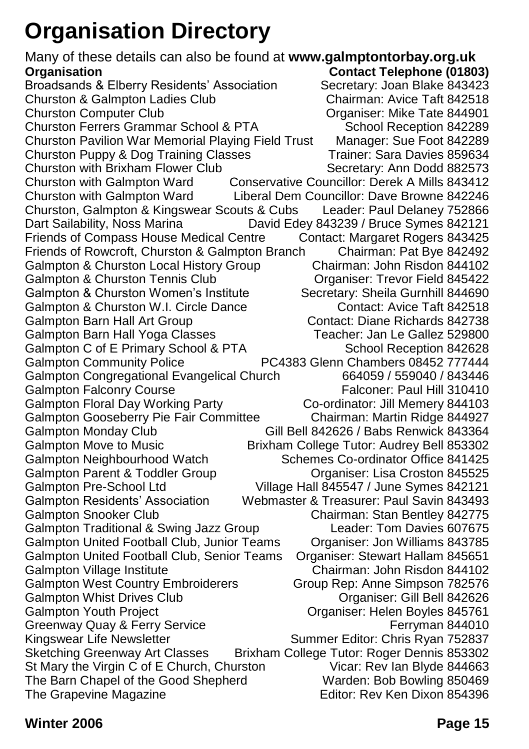## **Organisation Directory**

Many of these details can also be found at **www.galmptontorbay.org.uk Organisation**<br>**Broadsands & Elberry Residents' Association Contact Telephone (01803)**<br>**Broadsands & Elberry Residents' Association** Secretary: Joan Blake 843423 Broadsands & Elberry Residents' Association Secretary: Joan Blake 843423<br>Churston & Galmpton Ladies Club Chairman: Avice Taft 842518 Churston & Galmpton Ladies Club<br>Churston Computer Club Organiser: Mike Tate 844901 Churston Ferrers Grammar School & PTA School Reception 842289 Churston Pavilion War Memorial Playing Field Trust Manager: Sue Foot 842289 Churston Puppy & Dog Training Classes Churston with Brixham Flower Club Secretary: Ann Dodd 882573 Churston with Galmpton Ward Conservative Councillor: Derek A Mills 843412 Churston with Galmpton Ward Liberal Dem Councillor: Dave Browne 842246 Churston, Galmpton & Kingswear Scouts & Cubs Leader: Paul Delaney 752866 Dart Sailability, Noss Marina David Edey 843239 / Bruce Symes 842121 Friends of Compass House Medical Centre Contact: Margaret Rogers 843425<br>Friends of Rowcroft. Churston & Galmpton Branch Chairman: Pat Bye 842492 Friends of Rowcroft, Churston & Galmpton Branch Chairman: Pat Bye 842492 Galmpton & Churston Local History Group<br>
Galmpton & Churston Tennis Club
Cologaniser: Trevor Field 845422 Galmpton & Churston Tennis Club Galmpton & Churston Women's Institute Secretary: Sheila Gurnhill 844690 Galmpton & Churston W.I. Circle Dance **Contact: Avice Taft 842518** Galmpton Barn Hall Art Group Contact: Diane Richards 842738 Galmpton Barn Hall Yoga Classes Teacher: Jan Le Gallez 529800 Galmpton C of E Primary School & PTA School Reception 842628<br>Galmpton Community Police PC4383 Glenn Chambers 08452 777444 PC4383 Glenn Chambers 08452 777444 Galmpton Congregational Evangelical Church 664059 / 559040 / 843446<br>Galmpton Falconry Course 664059 / 664059 / Falconer: Paul Hill **Galmpton Falconry Course** Galmpton Floral Day Working Party Co-ordinator: Jill Memery 844103 Galmpton Gooseberry Pie Fair Committee Chairman: Martin Ridge 844927<br>Galmpton Monday Club Gill Bell 842626 / Babs Renwick 843364 Gill Bell 842626 / Babs Renwick 843364 Galmpton Move to Music Brixham College Tutor: Audrey Bell 853302 Galmpton Neighbourhood Watch Schemes Co-ordinator Office 841425 Galmpton Parent & Toddler Group Croaniser: Lisa Croston 845525 Galmpton Pre-School Ltd Village Hall 845547 / June Symes 842121 Galmpton Residents' Association Webmaster & Treasurer: Paul Savin 843493 Galmpton Snooker Club Chairman: Stan Bentley 842775 Galmpton Traditional & Swing Jazz Group Leader: Tom Davies 607675 Galmpton United Football Club, Junior Teams Organiser: Jon Williams 843785 Galmpton United Football Club, Senior Teams Organiser: Stewart Hallam 845651 Galmpton Village Institute Chairman: John Risdon 844102 Galmpton West Country Embroiderers Group Rep: Anne Simpson 782576 Galmpton Whist Drives Club **Calmet Concerned Accord Concerned Accord Concerned Accord Concerned Accord Concerned Accord Concerned Accord Concerned Accord Concerned Accord Concerned Accord Concerned Accord Concerned Accord** Galmpton Youth Project Organiser: Helen Boyles 845761 Greenway Quay & Ferry Service<br>
Kingswear Life Newsletter **Ferryman 844010**<br>
Summer Editor: Chris Ryan 752837 Summer Editor: Chris Ryan 752837 Sketching Greenway Art Classes Brixham College Tutor: Roger Dennis 853302 St Mary the Virgin C of E Church, Churston **Vicar: Rev Ian Blyde 844663**<br>The Barn Chapel of the Good Shepherd **Vicar: Bob Bowling 850469** The Barn Chapel of the Good Shepherd Warden: Bob Bowling 850469 The Grapevine Magazine

**Winter 2006 Page 15**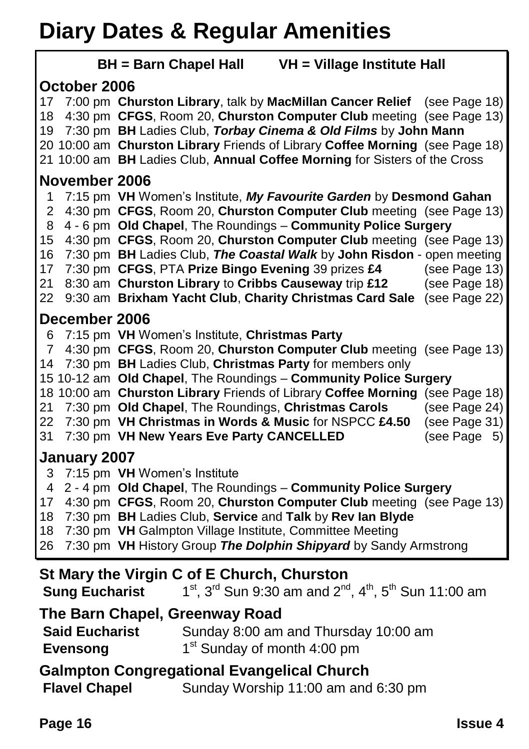## **Diary Dates & Regular Amenities**

| IJ                                                                                                                                                                                                                                                                                                                                                                                                                                                                                                                                                                                                                                |  |  |  |  |
|-----------------------------------------------------------------------------------------------------------------------------------------------------------------------------------------------------------------------------------------------------------------------------------------------------------------------------------------------------------------------------------------------------------------------------------------------------------------------------------------------------------------------------------------------------------------------------------------------------------------------------------|--|--|--|--|
| BH = Barn Chapel Hall VH = Village Institute Hall                                                                                                                                                                                                                                                                                                                                                                                                                                                                                                                                                                                 |  |  |  |  |
| October 2006                                                                                                                                                                                                                                                                                                                                                                                                                                                                                                                                                                                                                      |  |  |  |  |
| 7:00 pm Churston Library, talk by MacMillan Cancer Relief (see Page 18)<br>17<br>4:30 pm CFGS, Room 20, Churston Computer Club meeting (see Page 13)<br>18<br>19 7:30 pm BH Ladies Club, Torbay Cinema & Old Films by John Mann<br>20 10:00 am Churston Library Friends of Library Coffee Morning (see Page 18)<br>21 10:00 am BH Ladies Club, Annual Coffee Morning for Sisters of the Cross                                                                                                                                                                                                                                     |  |  |  |  |
| November 2006                                                                                                                                                                                                                                                                                                                                                                                                                                                                                                                                                                                                                     |  |  |  |  |
| 7:15 pm VH Women's Institute, My Favourite Garden by Desmond Gahan<br>1<br>4:30 pm CFGS, Room 20, Churston Computer Club meeting (see Page 13)<br>2<br>4 - 6 pm Old Chapel, The Roundings - Community Police Surgery<br>8<br>4:30 pm CFGS, Room 20, Churston Computer Club meeting (see Page 13)<br>15<br>16<br>7:30 pm BH Ladies Club, The Coastal Walk by John Risdon - open meeting<br>7:30 pm CFGS, PTA Prize Bingo Evening 39 prizes £4<br>17<br>(see Page 13)<br>8:30 am Churston Library to Cribbs Causeway trip £12<br>21<br>(see Page 18)<br>9:30 am Brixham Yacht Club, Charity Christmas Card Sale (see Page 22)<br>22 |  |  |  |  |
| December 2006                                                                                                                                                                                                                                                                                                                                                                                                                                                                                                                                                                                                                     |  |  |  |  |
| 7:15 pm VH Women's Institute, Christmas Party<br>6<br>4:30 pm CFGS, Room 20, Churston Computer Club meeting (see Page 13)<br>7<br>7:30 pm BH Ladies Club, Christmas Party for members only<br>14<br>15 10-12 am Old Chapel, The Roundings - Community Police Surgery<br>18 10:00 am Churston Library Friends of Library Coffee Morning (see Page 18)<br>7:30 pm Old Chapel, The Roundings, Christmas Carols<br>(see Page 24)<br>21<br>22<br>7:30 pm VH Christmas in Words & Music for NSPCC £4.50<br>(see Page 31)<br>7:30 pm VH New Years Eve Party CANCELLED<br>31<br>(see Page 5)                                              |  |  |  |  |
| January 2007                                                                                                                                                                                                                                                                                                                                                                                                                                                                                                                                                                                                                      |  |  |  |  |
| 3<br>7:15 pm VH Women's Institute<br>2 - 4 pm Old Chapel, The Roundings - Community Police Surgery<br>4<br>4:30 pm CFGS, Room 20, Churston Computer Club meeting (see Page 13)<br>17<br>7:30 pm BH Ladies Club, Service and Talk by Rev Ian Blyde<br>18<br>18<br>7:30 pm VH Galmpton Village Institute, Committee Meeting<br>7:30 pm VH History Group The Dolphin Shipyard by Sandy Armstrong<br>26                                                                                                                                                                                                                               |  |  |  |  |
| St Mary the Virgin C of E Church, Churston<br><b>Sung Eucharist</b> $1^{st}$ , $3^{rd}$ Sun 9:30 am and $2^{nd}$ , $4^{th}$ , $5^{th}$ Sun 11:00 am                                                                                                                                                                                                                                                                                                                                                                                                                                                                               |  |  |  |  |
| The Barn Chapel, Greenway Road                                                                                                                                                                                                                                                                                                                                                                                                                                                                                                                                                                                                    |  |  |  |  |

| <b>Said Eucharist</b> | Sunday 8:00 am and Thursday 10:00 am    |
|-----------------------|-----------------------------------------|
| <b>Evensong</b>       | 1 <sup>st</sup> Sunday of month 4:00 pm |

**Galmpton Congregational Evangelical Church<br>Flavel Chapel Sunday Worship 11:00 am and** Sunday Worship 11:00 am and 6:30 pm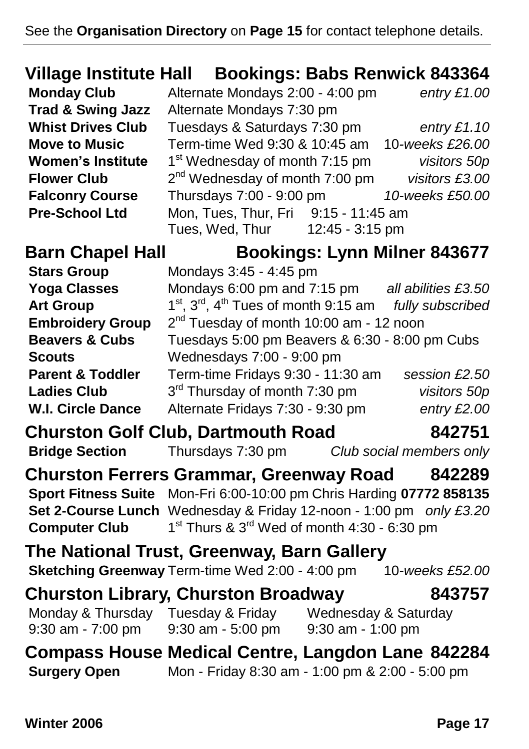#### **Village Institute Hall Bookings: Babs Renwick 843364**

**Women's Institute Flower Club** 

**Monday Club** Alternate Mondays 2:00 - 4:00 pm *entry £1.00* **Trad & Swing Jazz** Alternate Mondays 7:30 pm **Whist Drives Club** Tuesdays & Saturdays 7:30 pm *entry £1.10* **Move to Music** Term-time Wed 9:30 & 10:45 am 10*-weeks £26.00* st Wednesday of month 7:15 pm *visitors 50p* nd Wednesday of month 7:00 pm *visitors £3.00* **Falconry Course** Thursdays 7:00 - 9:00 pm *10-weeks £50.00* **Pre-School Ltd** Mon, Tues, Thur, Fri 9:15 - 11:45 am Tues, Wed, Thur 12:45 - 3:15 pm

**Barn Chapel Hall Bookings: Lynn Milner 843677**

| <b>Stars Group</b>          | Mondays 3:45 - 4:45 pm                                                    |                     |  |
|-----------------------------|---------------------------------------------------------------------------|---------------------|--|
| <b>Yoga Classes</b>         | Mondays 6:00 pm and 7:15 pm                                               | all abilities £3.50 |  |
| <b>Art Group</b>            | 1 <sup>st</sup> , 3 <sup>rd</sup> , 4 <sup>th</sup> Tues of month 9:15 am | fully subscribed    |  |
| <b>Embroidery Group</b>     | 2 <sup>nd</sup> Tuesday of month 10:00 am - 12 noon                       |                     |  |
| <b>Beavers &amp; Cubs</b>   | Tuesdays 5:00 pm Beavers & 6:30 - 8:00 pm Cubs                            |                     |  |
| <b>Scouts</b>               | Wednesdays 7:00 - 9:00 pm                                                 |                     |  |
| <b>Parent &amp; Toddler</b> | Term-time Fridays 9:30 - 11:30 am                                         | session £2.50       |  |
| <b>Ladies Club</b>          | 3 <sup>rd</sup> Thursday of month 7:30 pm                                 | visitors 50p        |  |
| <b>W.I. Circle Dance</b>    | Alternate Fridays 7:30 - 9:30 pm                                          | entry £2.00         |  |
|                             |                                                                           |                     |  |

**Churston Golf Club, Dartmouth Road 842751 Bridge Section** Thursdays 7:30 pm *Club social members only*

**Churston Ferrers Grammar, Greenway Road 842289 Sport Fitness Suite** Mon-Fri 6:00-10:00 pm Chris Harding **07772 858135 Set 2-Course Lunch** Wednesday & Friday 12-noon - 1:00 pm *only £3.20* **Computer Club**  $1<sup>st</sup>$  Thurs &  $3<sup>rd</sup>$  Wed of month 4:30 - 6:30 pm

**The National Trust, Greenway, Barn Gallery Sketching Greenway** Term-time Wed 2:00 - 4:00 pm 10-weeks £52.00 **Churston Library, Churston Broadway 843757** Monday & Thursday Tuesday & Friday Wednesday & Saturday<br>9:30 am - 7:00 pm 9:30 am - 5:00 pm 9:30 am - 1:00 pm 9:30 am - 7:00 pm 9:30 am - 5:00 pm 9:30 am - 1:00 pm

**Compass House Medical Centre, Langdon Lane 842284 Surgery Open** Mon - Friday 8:30 am - 1:00 pm & 2:00 - 5:00 pm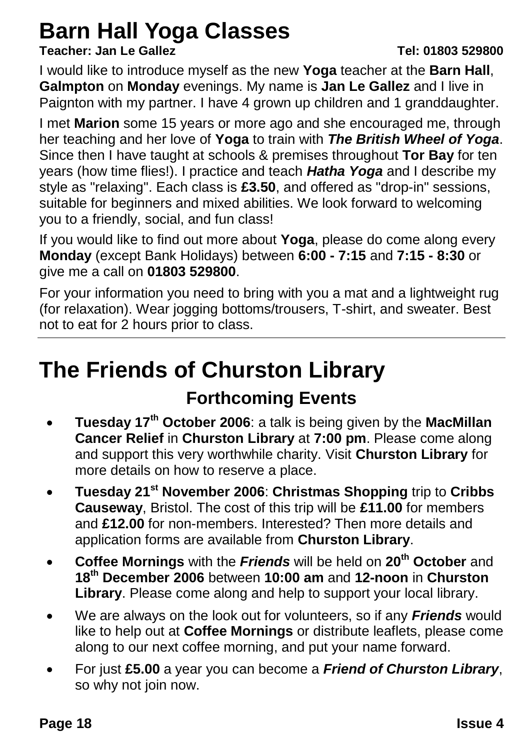## **Barn Hall Yoga Classes**

#### **Teacher: Jan Le Gallez Tel: 01803 529800**

I would like to introduce myself as the new **Yoga** teacher at the **Barn Hall**, **Galmpton** on **Monday** evenings. My name is **Jan Le Gallez** and I live in Paignton with my partner. I have 4 grown up children and 1 granddaughter.

I met **Marion** some 15 years or more ago and she encouraged me, through her teaching and her love of **Yoga** to train with *The British Wheel of Yoga*. Since then I have taught at schools & premises throughout **Tor Bay** for ten years (how time flies!). I practice and teach *Hatha Yoga* and I describe my style as "relaxing". Each class is **£3.50**, and offered as "drop-in" sessions, suitable for beginners and mixed abilities. We look forward to welcoming you to a friendly, social, and fun class!

If you would like to find out more about **Yoga**, please do come along every **Monday** (except Bank Holidays) between **6:00 - 7:15** and **7:15 - 8:30** or give me a call on **01803 529800**.

For your information you need to bring with you a mat and a lightweight rug (for relaxation). Wear jogging bottoms/trousers, T-shirt, and sweater. Best not to eat for 2 hours prior to class.

## **The Friends of Churston Library**

#### **Forthcoming Events**

- **Tuesday 17th October 2006**: a talk is being given by the **MacMillan Cancer Relief** in **Churston Library** at **7:00 pm**. Please come along and support this very worthwhile charity. Visit **Churston Library** for more details on how to reserve a place.
- **Tuesday 21st November 2006**: **Christmas Shopping** trip to **Cribbs Causeway**, Bristol. The cost of this trip will be **£11.00** for members and **£12.00** for non-members. Interested? Then more details and application forms are available from **Churston Library**.
- **Coffee Mornings** with the *Friends* will be held on **20th October** and **18th December 2006** between **10:00 am** and **12-noon** in **Churston Library**. Please come along and help to support your local library.
- We are always on the look out for volunteers, so if any *Friends* would like to help out at **Coffee Mornings** or distribute leaflets, please come along to our next coffee morning, and put your name forward.
- For just **£5.00** a year you can become a *Friend of Churston Library*, so why not join now.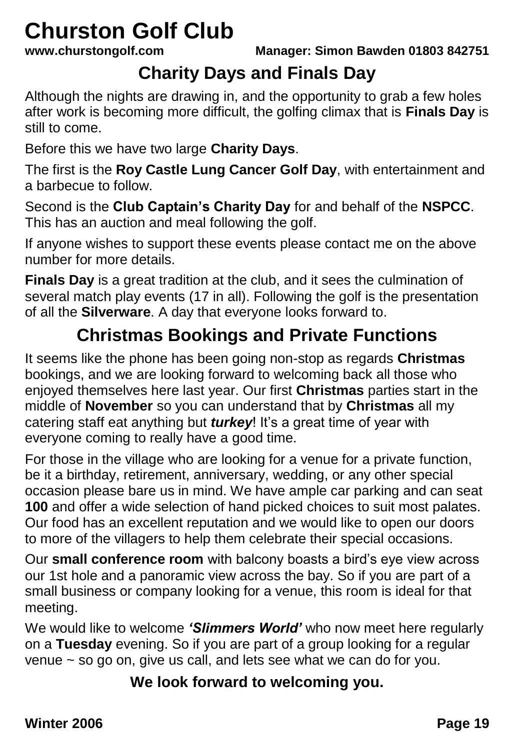## **Churston Golf Club**<br>www.churstongolf.com

**www.churstongolf.com Manager: Simon Bawden 01803 842751**

#### **Charity Days and Finals Day**

Although the nights are drawing in, and the opportunity to grab a few holes after work is becoming more difficult, the golfing climax that is **Finals Day** is still to come.

Before this we have two large **Charity Days**.

The first is the **Roy Castle Lung Cancer Golf Day**, with entertainment and a barbecue to follow.

Second is the **Club Captain's Charity Day** for and behalf of the **NSPCC**. This has an auction and meal following the golf.

If anyone wishes to support these events please contact me on the above number for more details.

**Finals Day** is a great tradition at the club, and it sees the culmination of several match play events (17 in all). Following the golf is the presentation of all the **Silverware**. A day that everyone looks forward to.

#### **Christmas Bookings and Private Functions**

It seems like the phone has been going non-stop as regards **Christmas** bookings, and we are looking forward to welcoming back all those who enjoyed themselves here last year. Our first **Christmas** parties start in the middle of **November** so you can understand that by **Christmas** all my catering staff eat anything but *turkey*! It's a great time of year with everyone coming to really have a good time.

For those in the village who are looking for a venue for a private function, be it a birthday, retirement, anniversary, wedding, or any other special occasion please bare us in mind. We have ample car parking and can seat **100** and offer a wide selection of hand picked choices to suit most palates. Our food has an excellent reputation and we would like to open our doors to more of the villagers to help them celebrate their special occasions.

Our **small conference room** with balcony boasts a bird's eye view across our 1st hole and a panoramic view across the bay. So if you are part of a small business or company looking for a venue, this room is ideal for that meeting.

We would like to welcome *'Slimmers World'* who now meet here regularly on a **Tuesday** evening. So if you are part of a group looking for a regular venue ~ so go on, give us call, and lets see what we can do for you.

**We look forward to welcoming you.**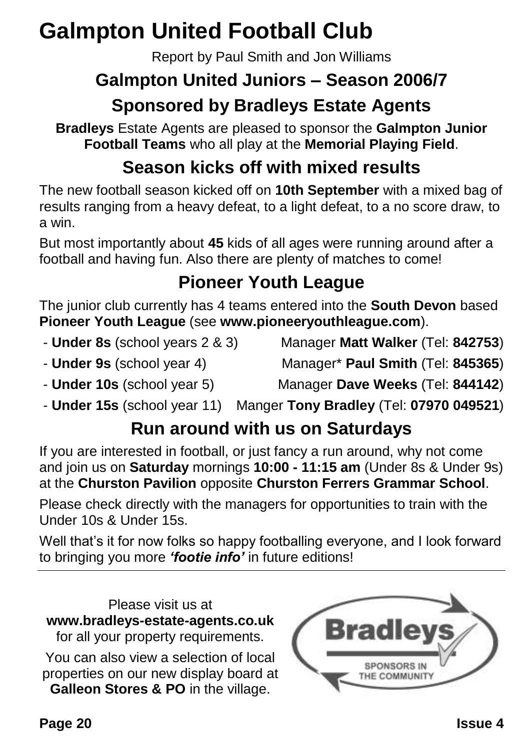## **Galmpton United Football Club**

Report by Paul Smith and Jon Williams

### **Galmpton United Juniors – Season 2006/7**

#### **Sponsored by Bradleys Estate Agents**

**Bradleys** Estate Agents are pleased to sponsor the **Galmpton Junior Football Teams** who all play at the **Memorial Playing Field**.

#### **Season kicks off with mixed results**

The new football season kicked off on **10th September** with a mixed bag of results ranging from a heavy defeat, to a light defeat, to a no score draw, to a win.

But most importantly about **45** kids of all ages were running around after a football and having fun. Also there are plenty of matches to come!

#### **Pioneer Youth League**

The junior club currently has 4 teams entered into the **South Devon** based **Pioneer Youth League** (see **www.pioneeryouthleague.com**).

- 
- **Under 8s** (school years 2 & 3) Manager **Matt Walker** (Tel: **842753**)
- **Under 9s** (school year 4) Manager\* **Paul Smith** (Tel: **845365**)
- 
- **Under 10s** (school year 5) Manager **Dave Weeks** (Tel: **844142**)
- **Under 15s** (school year 11) Manger **Tony Bradley** (Tel: **07970 049521**)

#### **Run around with us on Saturdays**

If you are interested in football, or just fancy a run around, why not come and join us on **Saturday** mornings **10:00 - 11:15 am** (Under 8s & Under 9s) at the **Churston Pavilion** opposite **Churston Ferrers Grammar School**.

Please check directly with the managers for opportunities to train with the Under 10s & Under 15s.

Well that's it for now folks so happy footballing everyone, and I look forward to bringing you more *'footie info'* in future editions!

Please visit us at **[www.bradleys-estate-agents.co.uk](http://www.bradleys-estate-agents.co.uk/)** for all your property requirements.

You can also view a selection of local properties on our new display board at **Galleon Stores & PO** in the village.

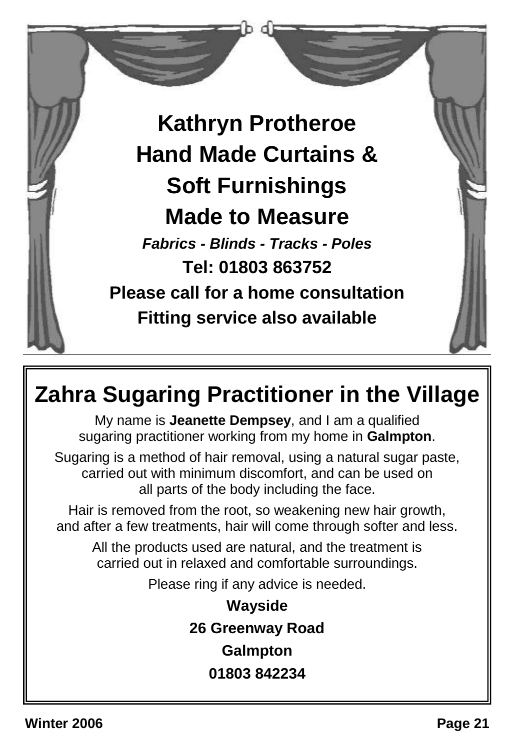

## **Zahra Sugaring Practitioner in the Village**

My name is **Jeanette Dempsey**, and I am a qualified sugaring practitioner working from my home in **Galmpton**.

Sugaring is a method of hair removal, using a natural sugar paste, carried out with minimum discomfort, and can be used on all parts of the body including the face.

Hair is removed from the root, so weakening new hair growth, and after a few treatments, hair will come through softer and less.

All the products used are natural, and the treatment is carried out in relaxed and comfortable surroundings.

Please ring if any advice is needed.

**Wayside 26 Greenway Road Galmpton 01803 842234**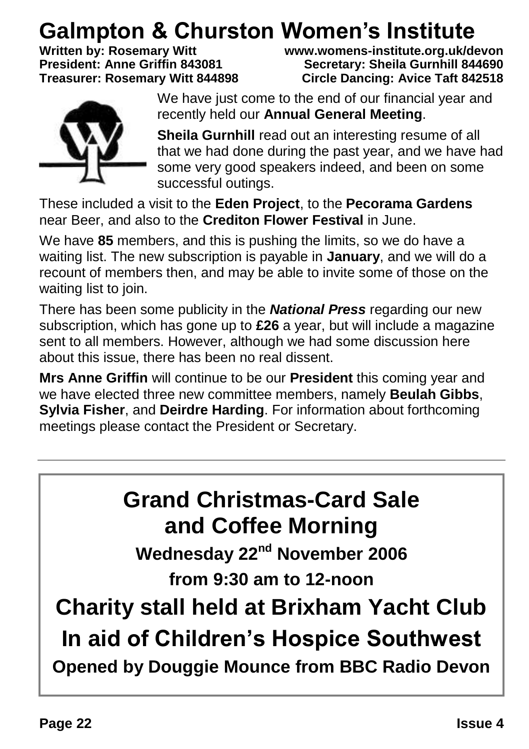## **Galmpton & Churston Women's Institute**<br>Written by: Rosemary Witt Witt Witt www.womens-institute.org.uk/do

**Written by: Rosemary Witt www.womens-institute.org.uk/devon Secretary: Sheila Gurnhill 844690 Treasurer: Rosemary Witt 844898 Circle Dancing: Avice Taft 842518**



We have just come to the end of our financial year and recently held our **Annual General Meeting**.

**Sheila Gurnhill** read out an interesting resume of all that we had done during the past year, and we have had some very good speakers indeed, and been on some successful outings.

These included a visit to the **Eden Project**, to the **Pecorama Gardens** near Beer, and also to the **Crediton Flower Festival** in June.

We have **85** members, and this is pushing the limits, so we do have a waiting list. The new subscription is payable in **January**, and we will do a recount of members then, and may be able to invite some of those on the waiting list to join.

There has been some publicity in the *National Press* regarding our new subscription, which has gone up to **£26** a year, but will include a magazine sent to all members. However, although we had some discussion here about this issue, there has been no real dissent.

**Mrs Anne Griffin** will continue to be our **President** this coming year and we have elected three new committee members, namely **Beulah Gibbs**, **Sylvia Fisher**, and **Deirdre Harding**. For information about forthcoming meetings please contact the President or Secretary.

## **Grand Christmas-Card Sale and Coffee Morning**

**Wednesday 22nd November 2006 from 9:30 am to 12-noon**

**Charity stall held at Brixham Yacht Club In aid of Children's Hospice Southwest Opened by Douggie Mounce from BBC Radio Devon**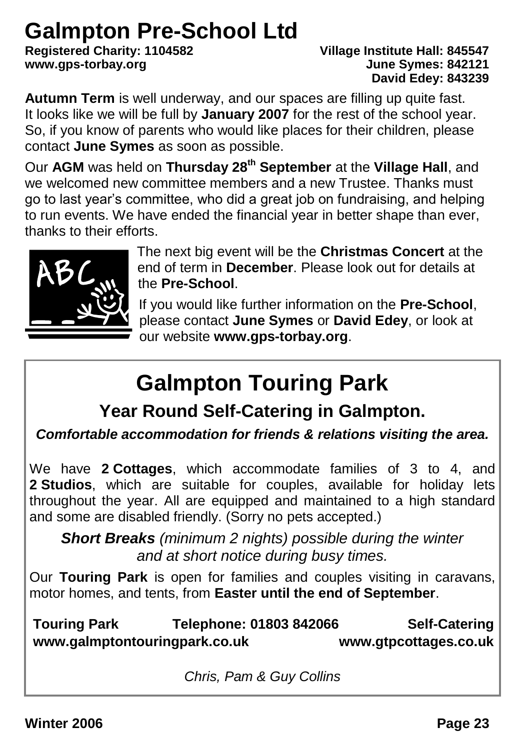## **Galmpton Pre-School Ltd**

**Registered Charity: 1104582 Village Institute Hall: 845547**  $www.aps-torbay.org$ 

# **David Edey: 843239**

**Autumn Term** is well underway, and our spaces are filling up quite fast. It looks like we will be full by **January 2007** for the rest of the school year. So, if you know of parents who would like places for their children, please contact **June Symes** as soon as possible.

Our **AGM** was held on **Thursday 28th September** at the **Village Hall**, and we welcomed new committee members and a new Trustee. Thanks must go to last year's committee, who did a great job on fundraising, and helping to run events. We have ended the financial year in better shape than ever, thanks to their efforts.



The next big event will be the **Christmas Concert** at the end of term in **December**. Please look out for details at the **Pre-School**.

If you would like further information on the **Pre-School**, please contact **June Symes** or **David Edey**, or look at our website **www.gps-torbay.org**.

## **Galmpton Touring Park**

**Year Round Self-Catering in Galmpton.**

*Comfortable accommodation for friends & relations visiting the area.*

We have **2 Cottages**, which accommodate families of 3 to 4, and **2 Studios**, which are suitable for couples, available for holiday lets throughout the year. All are equipped and maintained to a high standard and some are disabled friendly. (Sorry no pets accepted.)

*Short Breaks (minimum 2 nights) possible during the winter and at short notice during busy times.*

Our **Touring Park** is open for families and couples visiting in caravans, motor homes, and tents, from **Easter until the end of September**.

**Touring Park Telephone: 01803 842066 Self-Catering www.galmptontouringpark.co.uk www.gtpcottages.co.uk**

*Chris, Pam & Guy Collins*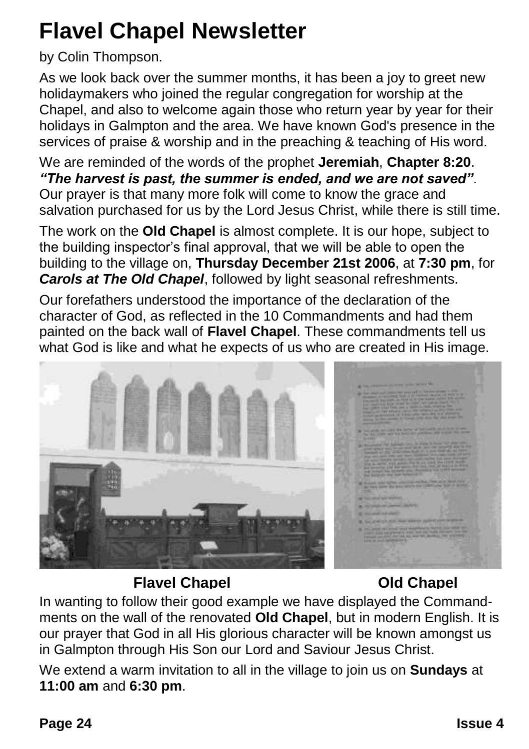## **Flavel Chapel Newsletter**

#### by Colin Thompson.

As we look back over the summer months, it has been a joy to greet new holidaymakers who joined the regular congregation for worship at the Chapel, and also to welcome again those who return year by year for their holidays in Galmpton and the area. We have known God's presence in the services of praise & worship and in the preaching & teaching of His word.

We are reminded of the words of the prophet **Jeremiah**, **Chapter 8:20**. *"The harvest is past, the summer is ended, and we are not saved"*. Our prayer is that many more folk will come to know the grace and salvation purchased for us by the Lord Jesus Christ, while there is still time.

The work on the **Old Chapel** is almost complete. It is our hope, subject to the building inspector's final approval, that we will be able to open the building to the village on, **Thursday December 21st 2006**, at **7:30 pm**, for *Carols at The Old Chapel*, followed by light seasonal refreshments.

Our forefathers understood the importance of the declaration of the character of God, as reflected in the 10 Commandments and had them painted on the back wall of **Flavel Chapel**. These commandments tell us what God is like and what he expects of us who are created in His image.



#### **Flavel Chapel Old Chapel**

In wanting to follow their good example we have displayed the Commandments on the wall of the renovated **Old Chapel**, but in modern English. It is our prayer that God in all His glorious character will be known amongst us in Galmpton through His Son our Lord and Saviour Jesus Christ.

We extend a warm invitation to all in the village to join us on **Sundays** at **11:00 am** and **6:30 pm**.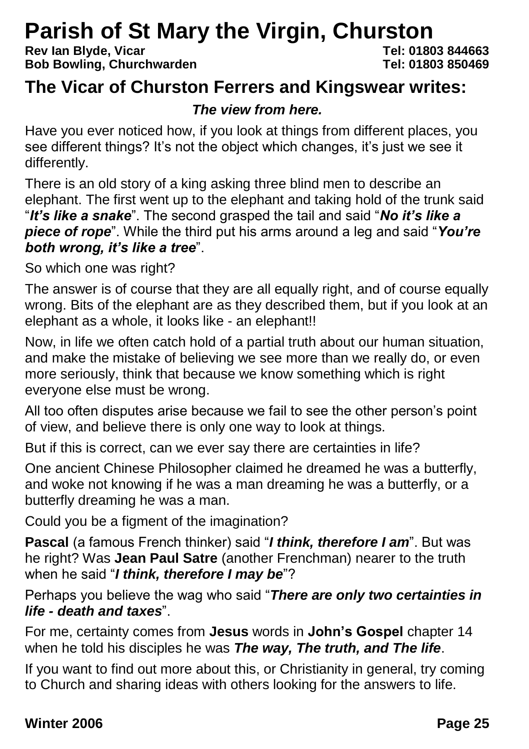## **Parish of St Mary the Virgin, Churston**<br>Rev lan Blyde, Vicar<br>Tel: 01803 844663

**Rev Ian Blyde, Vicar Tel: 01803 844663 Bob Bowling, Churchwarden** 

#### **The Vicar of Churston Ferrers and Kingswear writes:**

#### *The view from here.*

Have you ever noticed how, if you look at things from different places, you see different things? It's not the object which changes, it's just we see it differently.

There is an old story of a king asking three blind men to describe an elephant. The first went up to the elephant and taking hold of the trunk said "*It's like a snake*". The second grasped the tail and said "*No it's like a piece of rope*". While the third put his arms around a leg and said "*You're both wrong, it's like a tree*".

So which one was right?

The answer is of course that they are all equally right, and of course equally wrong. Bits of the elephant are as they described them, but if you look at an elephant as a whole, it looks like - an elephant!!

Now, in life we often catch hold of a partial truth about our human situation, and make the mistake of believing we see more than we really do, or even more seriously, think that because we know something which is right everyone else must be wrong.

All too often disputes arise because we fail to see the other person's point of view, and believe there is only one way to look at things.

But if this is correct, can we ever say there are certainties in life?

One ancient Chinese Philosopher claimed he dreamed he was a butterfly, and woke not knowing if he was a man dreaming he was a butterfly, or a butterfly dreaming he was a man.

Could you be a figment of the imagination?

**Pascal** (a famous French thinker) said "*I think, therefore I am*". But was he right? Was **Jean Paul Satre** (another Frenchman) nearer to the truth when he said "*I think, therefore I may be*"?

Perhaps you believe the wag who said "*There are only two certainties in life - death and taxes*".

For me, certainty comes from **Jesus** words in **John's Gospel** chapter 14 when he told his disciples he was *The way, The truth, and The life*.

If you want to find out more about this, or Christianity in general, try coming to Church and sharing ideas with others looking for the answers to life.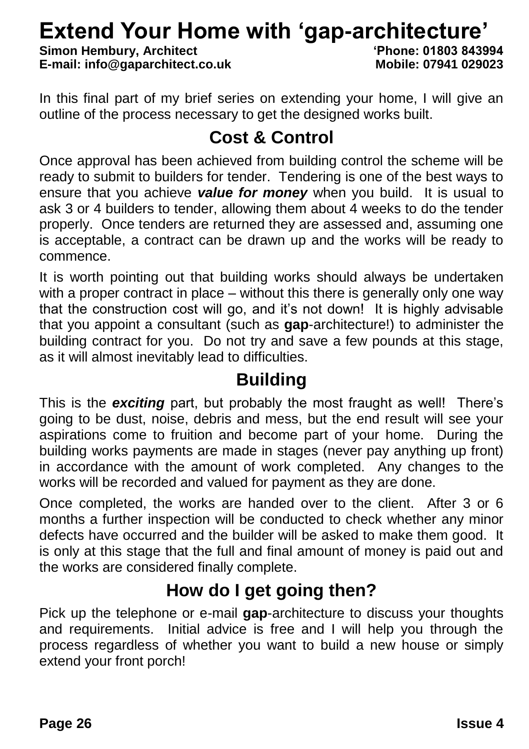## **Extend Your Home with 'gap-architecture'**<br>Simon Hembury, Architect<br>(Phone: 01803 843994

**Simon Hembury, Architect 'Phone: 01803 843994 E-mail: info@gaparchitect.co.uk** 

In this final part of my brief series on extending your home. I will give an outline of the process necessary to get the designed works built.

#### **Cost & Control**

Once approval has been achieved from building control the scheme will be ready to submit to builders for tender. Tendering is one of the best ways to ensure that you achieve *value for money* when you build. It is usual to ask 3 or 4 builders to tender, allowing them about 4 weeks to do the tender properly. Once tenders are returned they are assessed and, assuming one is acceptable, a contract can be drawn up and the works will be ready to commence.

It is worth pointing out that building works should always be undertaken with a proper contract in place – without this there is generally only one way that the construction cost will go, and it's not down! It is highly advisable that you appoint a consultant (such as **gap**-architecture!) to administer the building contract for you. Do not try and save a few pounds at this stage, as it will almost inevitably lead to difficulties.

#### **Building**

This is the *exciting* part, but probably the most fraught as well! There's going to be dust, noise, debris and mess, but the end result will see your aspirations come to fruition and become part of your home. During the building works payments are made in stages (never pay anything up front) in accordance with the amount of work completed. Any changes to the works will be recorded and valued for payment as they are done.

Once completed, the works are handed over to the client. After 3 or 6 months a further inspection will be conducted to check whether any minor defects have occurred and the builder will be asked to make them good. It is only at this stage that the full and final amount of money is paid out and the works are considered finally complete.

#### **How do I get going then?**

Pick up the telephone or e-mail **gap**-architecture to discuss your thoughts and requirements. Initial advice is free and I will help you through the process regardless of whether you want to build a new house or simply extend your front porch!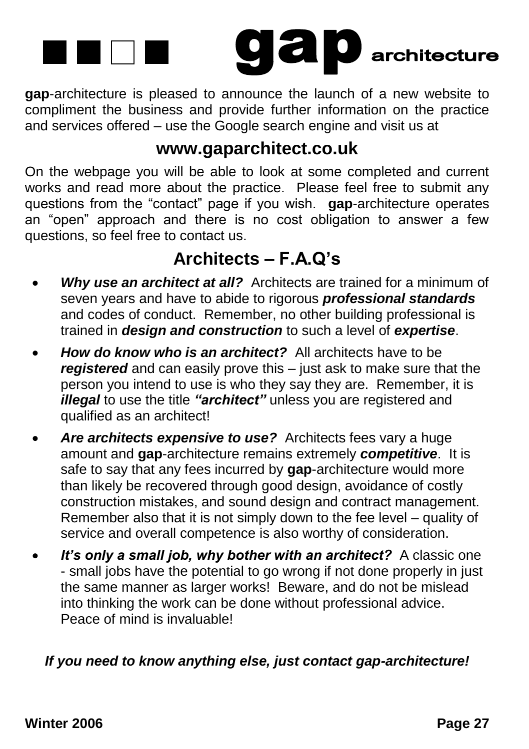

**gap**-architecture is pleased to announce the launch of a new website to compliment the business and provide further information on the practice and services offered – use the Google search engine and visit us at

#### **www.gaparchitect.co.uk**

On the webpage you will be able to look at some completed and current works and read more about the practice. Please feel free to submit any questions from the "contact" page if you wish. **gap**-architecture operates an "open" approach and there is no cost obligation to answer a few questions, so feel free to contact us.

#### **Architects – F.A.Q's**

- *Why use an architect at all?* Architects are trained for a minimum of seven years and have to abide to rigorous *professional standards* and codes of conduct. Remember, no other building professional is trained in *design and construction* to such a level of *expertise*.
- *How do know who is an architect?* All architects have to be *registered* and can easily prove this – just ask to make sure that the person you intend to use is who they say they are. Remember, it is *illegal* to use the title *"architect"* unless you are registered and qualified as an architect!
- *Are architects expensive to use?* Architects fees vary a huge amount and **gap**-architecture remains extremely *competitive*. It is safe to say that any fees incurred by **gap**-architecture would more than likely be recovered through good design, avoidance of costly construction mistakes, and sound design and contract management. Remember also that it is not simply down to the fee level – quality of service and overall competence is also worthy of consideration.
- *It's only a small job, why bother with an architect?* A classic one - small jobs have the potential to go wrong if not done properly in just the same manner as larger works! Beware, and do not be mislead into thinking the work can be done without professional advice. Peace of mind is invaluable!

#### *If you need to know anything else, just contact gap-architecture!*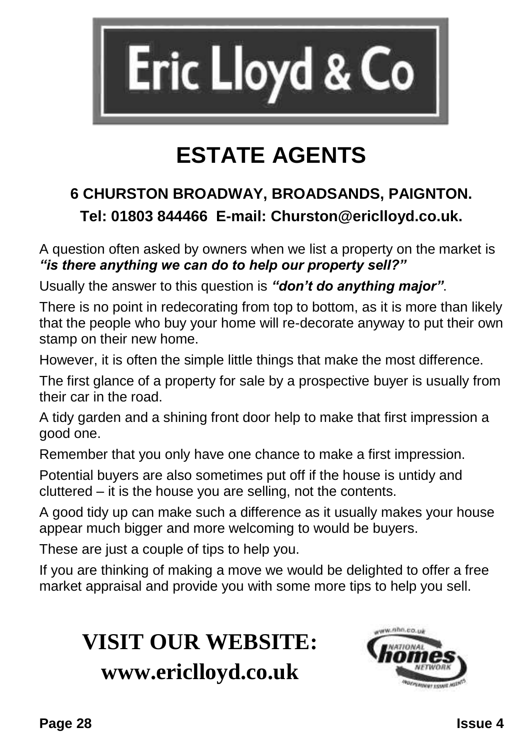

## **ESTATE AGENTS**

#### **6 CHURSTON BROADWAY, BROADSANDS, PAIGNTON. Tel: 01803 844466 E-mail: Churston@ericlloyd.co.uk.**

A question often asked by owners when we list a property on the market is *"is there anything we can do to help our property sell?"*

Usually the answer to this question is *"don't do anything major"*.

There is no point in redecorating from top to bottom, as it is more than likely that the people who buy your home will re-decorate anyway to put their own stamp on their new home.

However, it is often the simple little things that make the most difference.

The first glance of a property for sale by a prospective buyer is usually from their car in the road.

A tidy garden and a shining front door help to make that first impression a good one.

Remember that you only have one chance to make a first impression.

Potential buyers are also sometimes put off if the house is untidy and cluttered – it is the house you are selling, not the contents.

A good tidy up can make such a difference as it usually makes your house appear much bigger and more welcoming to would be buyers.

These are just a couple of tips to help you.

If you are thinking of making a move we would be delighted to offer a free market appraisal and provide you with some more tips to help you sell.

## **VISIT OUR WEBSITE: www.ericlloyd.co.uk**

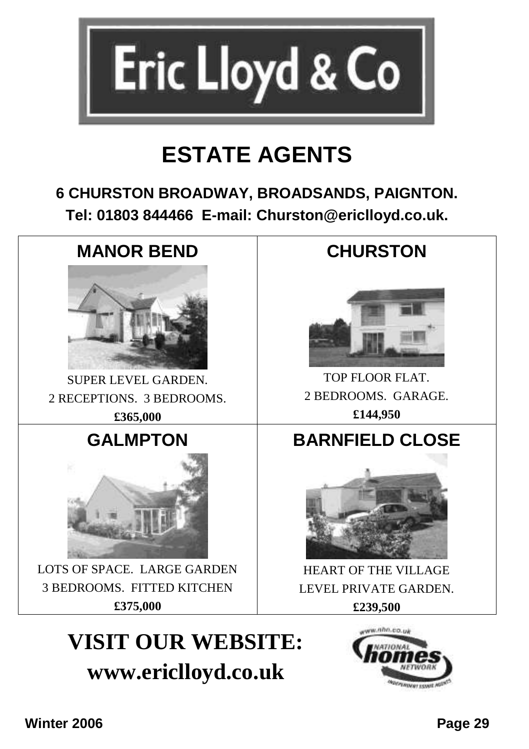

## **ESTATE AGENTS**

#### **6 CHURSTON BROADWAY, BROADSANDS, PAIGNTON. Tel: 01803 844466 E-mail: Churston@ericlloyd.co.uk.**



SUPER LEVEL GARDEN. 2 RECEPTIONS. 3 BEDROOMS. **£365,000**

#### **GALMPTON**



LOTS OF SPACE. LARGE GARDEN 3 BEDROOMS. FITTED KITCHEN **£375,000**

## **VISIT OUR WEBSITE: www.ericlloyd.co.uk**

#### **CHURSTON**



TOP FLOOR FLAT. 2 BEDROOMS. GARAGE. **£144,950**

#### **BARNFIELD CLOSE**



HEART OF THE VILLAGE LEVEL PRIVATE GARDEN. **£239,500**

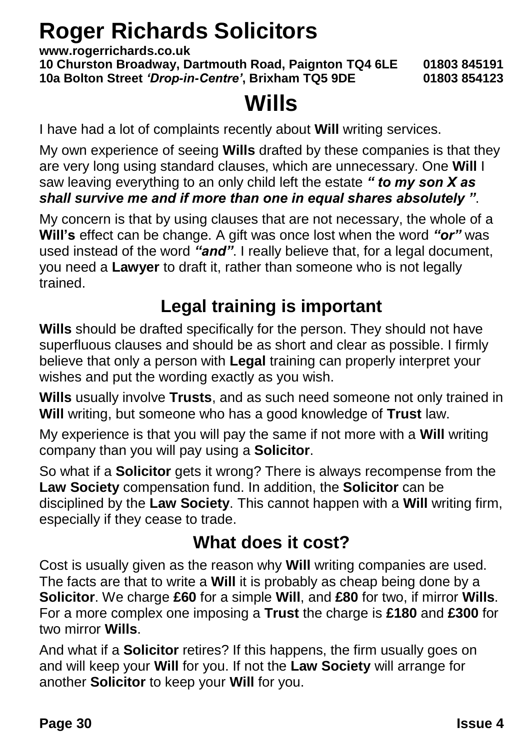## **Roger Richards Solicitors**

**www.rogerrichards.co.uk 10 Churston Broadway, Dartmouth Road, Paignton TQ4 6LE 01803 845191 10a Bolton Street** *'Drop-in-Centre'***, Brixham TQ5 9DE 01803 854123**

## **Wills**

I have had a lot of complaints recently about **Will** writing services.

My own experience of seeing **Wills** drafted by these companies is that they are very long using standard clauses, which are unnecessary. One **Will** I saw leaving everything to an only child left the estate *" to my son X as shall survive me and if more than one in equal shares absolutely "*.

My concern is that by using clauses that are not necessary, the whole of a **Will's** effect can be change. A gift was once lost when the word *"or"* was used instead of the word *"and"*. I really believe that, for a legal document, you need a **Lawyer** to draft it, rather than someone who is not legally trained.

#### **Legal training is important**

**Wills** should be drafted specifically for the person. They should not have superfluous clauses and should be as short and clear as possible. I firmly believe that only a person with **Legal** training can properly interpret your wishes and put the wording exactly as you wish.

**Wills** usually involve **Trusts**, and as such need someone not only trained in **Will** writing, but someone who has a good knowledge of **Trust** law.

My experience is that you will pay the same if not more with a **Will** writing company than you will pay using a **Solicitor**.

So what if a **Solicitor** gets it wrong? There is always recompense from the **Law Society** compensation fund. In addition, the **Solicitor** can be disciplined by the **Law Society**. This cannot happen with a **Will** writing firm, especially if they cease to trade.

#### **What does it cost?**

Cost is usually given as the reason why **Will** writing companies are used. The facts are that to write a **Will** it is probably as cheap being done by a **Solicitor**. We charge **£60** for a simple **Will**, and **£80** for two, if mirror **Wills**. For a more complex one imposing a **Trust** the charge is **£180** and **£300** for two mirror **Wills**.

And what if a **Solicitor** retires? If this happens, the firm usually goes on and will keep your **Will** for you. If not the **Law Society** will arrange for another **Solicitor** to keep your **Will** for you.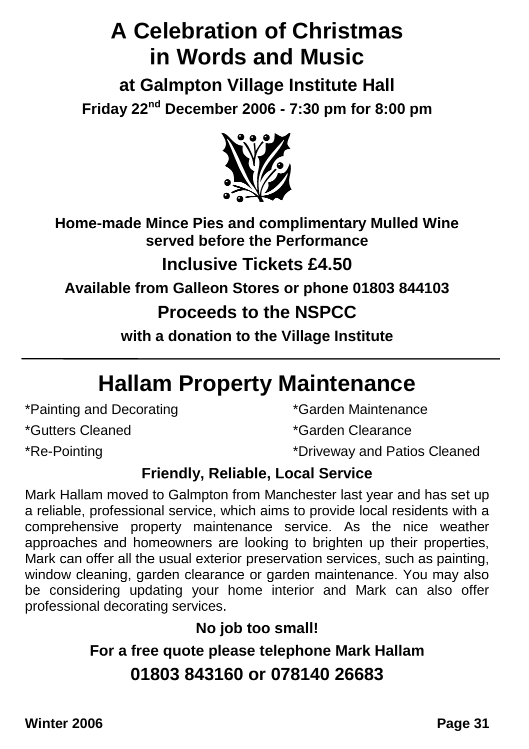## **A Celebration of Christmas in Words and Music**

**at Galmpton Village Institute Hall Friday 22nd December 2006 - 7:30 pm for 8:00 pm**



**Home-made Mince Pies and complimentary Mulled Wine served before the Performance**

**Inclusive Tickets £4.50**

**Available from Galleon Stores or phone 01803 844103**

#### **Proceeds to the NSPCC**

**with a donation to the Village Institute**

### **Hallam Property Maintenance**

\*Painting and Decorating \*Garden Maintenance

\*Gutters Cleaned \*Garden Clearance

\*Re-Pointing \*Driveway and Patios Cleaned

#### **Friendly, Reliable, Local Service**

Mark Hallam moved to Galmpton from Manchester last year and has set up a reliable, professional service, which aims to provide local residents with a comprehensive property maintenance service. As the nice weather approaches and homeowners are looking to brighten up their properties, Mark can offer all the usual exterior preservation services, such as painting, window cleaning, garden clearance or garden maintenance. You may also be considering updating your home interior and Mark can also offer professional decorating services.

#### **No job too small!**

**For a free quote please telephone Mark Hallam 01803 843160 or 078140 26683**

**Winter 2006 Page 31**